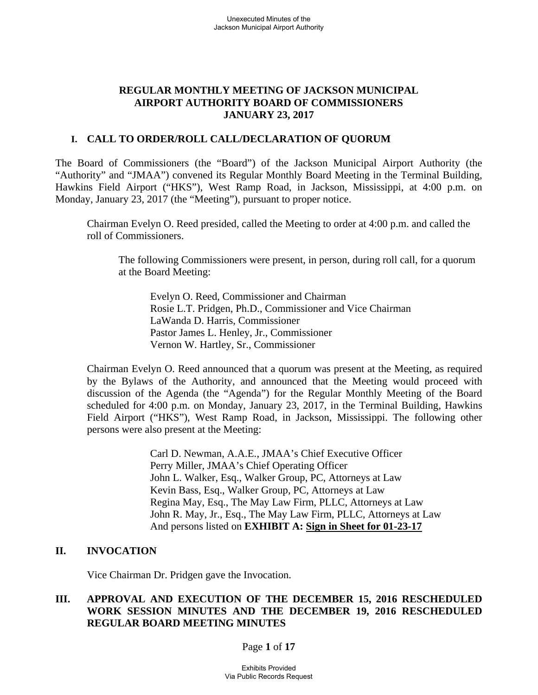### **REGULAR MONTHLY MEETING OF JACKSON MUNICIPAL AIRPORT AUTHORITY BOARD OF COMMISSIONERS JANUARY 23, 2017**

### **I. CALL TO ORDER/ROLL CALL/DECLARATION OF QUORUM**

The Board of Commissioners (the "Board") of the Jackson Municipal Airport Authority (the "Authority" and "JMAA") convened its Regular Monthly Board Meeting in the Terminal Building, Hawkins Field Airport ("HKS"), West Ramp Road, in Jackson, Mississippi, at 4:00 p.m. on Monday, January 23, 2017 (the "Meeting"), pursuant to proper notice.

Chairman Evelyn O. Reed presided, called the Meeting to order at 4:00 p.m. and called the roll of Commissioners.

The following Commissioners were present, in person, during roll call, for a quorum at the Board Meeting:

Evelyn O. Reed, Commissioner and Chairman Rosie L.T. Pridgen, Ph.D., Commissioner and Vice Chairman LaWanda D. Harris, Commissioner Pastor James L. Henley, Jr., Commissioner Vernon W. Hartley, Sr., Commissioner

Chairman Evelyn O. Reed announced that a quorum was present at the Meeting, as required by the Bylaws of the Authority, and announced that the Meeting would proceed with discussion of the Agenda (the "Agenda") for the Regular Monthly Meeting of the Board scheduled for 4:00 p.m. on Monday, January 23, 2017, in the Terminal Building, Hawkins Field Airport ("HKS"), West Ramp Road, in Jackson, Mississippi. The following other persons were also present at the Meeting:

> Carl D. Newman, A.A.E., JMAA's Chief Executive Officer Perry Miller, JMAA's Chief Operating Officer John L. Walker, Esq., Walker Group, PC, Attorneys at Law Kevin Bass, Esq., Walker Group, PC, Attorneys at Law Regina May, Esq., The May Law Firm, PLLC, Attorneys at Law John R. May, Jr., Esq., The May Law Firm, PLLC, Attorneys at Law And persons listed on **EXHIBIT A: Sign in Sheet for 01-23-17**

#### **II. INVOCATION**

Vice Chairman Dr. Pridgen gave the Invocation.

### **III. APPROVAL AND EXECUTION OF THE DECEMBER 15, 2016 RESCHEDULED WORK SESSION MINUTES AND THE DECEMBER 19, 2016 RESCHEDULED REGULAR BOARD MEETING MINUTES**

Page **1** of **17**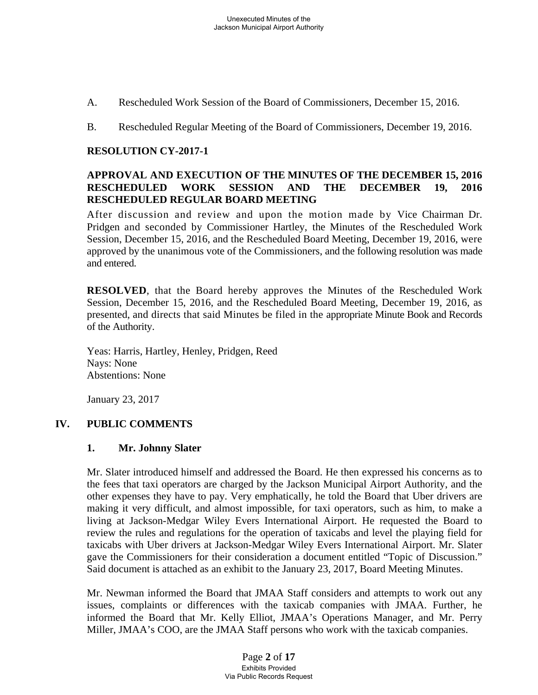- A. Rescheduled Work Session of the Board of Commissioners, December 15, 2016.
- B. Rescheduled Regular Meeting of the Board of Commissioners, December 19, 2016.

### **RESOLUTION CY-2017-1**

### **APPROVAL AND EXECUTION OF THE MINUTES OF THE DECEMBER 15, 2016 RESCHEDULED WORK SESSION AND THE DECEMBER 19, 2016 RESCHEDULED REGULAR BOARD MEETING**

After discussion and review and upon the motion made by Vice Chairman Dr. Pridgen and seconded by Commissioner Hartley, the Minutes of the Rescheduled Work Session, December 15, 2016, and the Rescheduled Board Meeting, December 19, 2016, were approved by the unanimous vote of the Commissioners, and the following resolution was made and entered.

**RESOLVED**, that the Board hereby approves the Minutes of the Rescheduled Work Session, December 15, 2016, and the Rescheduled Board Meeting, December 19, 2016, as presented, and directs that said Minutes be filed in the appropriate Minute Book and Records of the Authority.

Yeas: Harris, Hartley, Henley, Pridgen, Reed Nays: None Abstentions: None

January 23, 2017

#### **IV. PUBLIC COMMENTS**

#### **1. Mr. Johnny Slater**

Mr. Slater introduced himself and addressed the Board. He then expressed his concerns as to the fees that taxi operators are charged by the Jackson Municipal Airport Authority, and the other expenses they have to pay. Very emphatically, he told the Board that Uber drivers are making it very difficult, and almost impossible, for taxi operators, such as him, to make a living at Jackson-Medgar Wiley Evers International Airport. He requested the Board to review the rules and regulations for the operation of taxicabs and level the playing field for taxicabs with Uber drivers at Jackson-Medgar Wiley Evers International Airport. Mr. Slater gave the Commissioners for their consideration a document entitled "Topic of Discussion." Said document is attached as an exhibit to the January 23, 2017, Board Meeting Minutes.

Mr. Newman informed the Board that JMAA Staff considers and attempts to work out any issues, complaints or differences with the taxicab companies with JMAA. Further, he informed the Board that Mr. Kelly Elliot, JMAA's Operations Manager, and Mr. Perry Miller, JMAA's COO, are the JMAA Staff persons who work with the taxicab companies.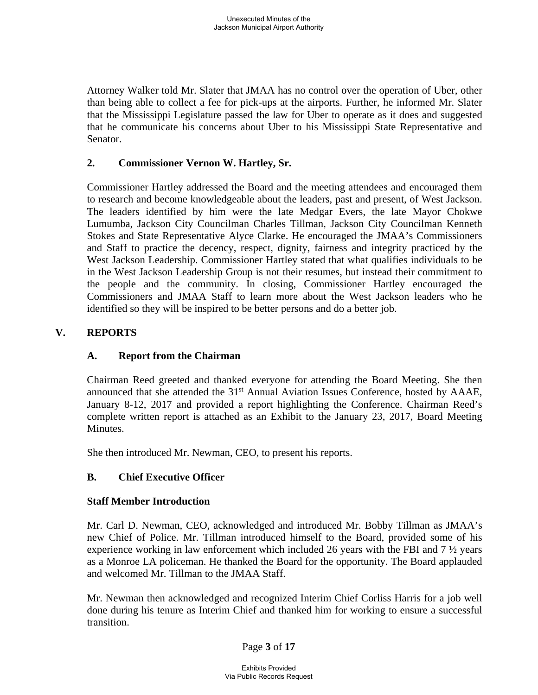Attorney Walker told Mr. Slater that JMAA has no control over the operation of Uber, other than being able to collect a fee for pick-ups at the airports. Further, he informed Mr. Slater that the Mississippi Legislature passed the law for Uber to operate as it does and suggested that he communicate his concerns about Uber to his Mississippi State Representative and Senator.

## **2. Commissioner Vernon W. Hartley, Sr.**

Commissioner Hartley addressed the Board and the meeting attendees and encouraged them to research and become knowledgeable about the leaders, past and present, of West Jackson. The leaders identified by him were the late Medgar Evers, the late Mayor Chokwe Lumumba, Jackson City Councilman Charles Tillman, Jackson City Councilman Kenneth Stokes and State Representative Alyce Clarke. He encouraged the JMAA's Commissioners and Staff to practice the decency, respect, dignity, fairness and integrity practiced by the West Jackson Leadership. Commissioner Hartley stated that what qualifies individuals to be in the West Jackson Leadership Group is not their resumes, but instead their commitment to the people and the community. In closing, Commissioner Hartley encouraged the Commissioners and JMAA Staff to learn more about the West Jackson leaders who he identified so they will be inspired to be better persons and do a better job.

# **V. REPORTS**

## **A. Report from the Chairman**

Chairman Reed greeted and thanked everyone for attending the Board Meeting. She then announced that she attended the 31<sup>st</sup> Annual Aviation Issues Conference, hosted by AAAE, January 8-12, 2017 and provided a report highlighting the Conference. Chairman Reed's complete written report is attached as an Exhibit to the January 23, 2017, Board Meeting **Minutes** 

She then introduced Mr. Newman, CEO, to present his reports.

# **B. Chief Executive Officer**

## **Staff Member Introduction**

Mr. Carl D. Newman, CEO, acknowledged and introduced Mr. Bobby Tillman as JMAA's new Chief of Police. Mr. Tillman introduced himself to the Board, provided some of his experience working in law enforcement which included 26 years with the FBI and 7 ½ years as a Monroe LA policeman. He thanked the Board for the opportunity. The Board applauded and welcomed Mr. Tillman to the JMAA Staff.

Mr. Newman then acknowledged and recognized Interim Chief Corliss Harris for a job well done during his tenure as Interim Chief and thanked him for working to ensure a successful transition.

## Page **3** of **17**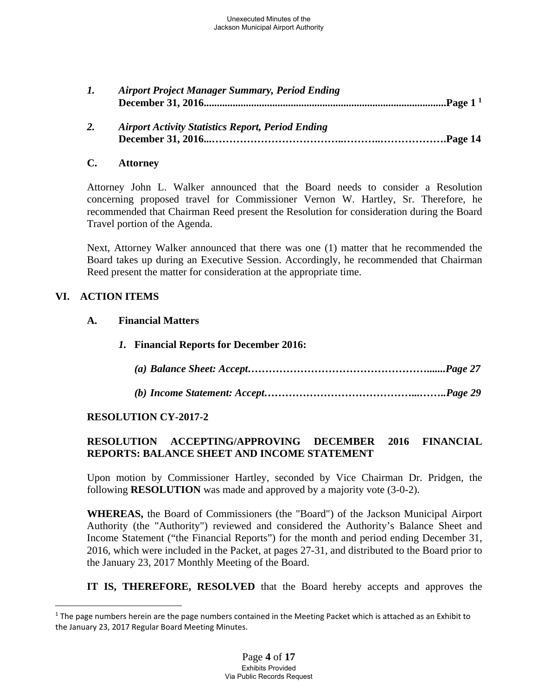| <b>Airport Project Manager Summary, Period Ending</b> |  |
|-------------------------------------------------------|--|
|                                                       |  |
|                                                       |  |

 *2. Airport Activity Statistics Report, Period Ending*  **December 31, 2016...………………………………..………..……………….Page 14**

### **C. Attorney**

Attorney John L. Walker announced that the Board needs to consider a Resolution concerning proposed travel for Commissioner Vernon W. Hartley, Sr. Therefore, he recommended that Chairman Reed present the Resolution for consideration during the Board Travel portion of the Agenda.

Next, Attorney Walker announced that there was one (1) matter that he recommended the Board takes up during an Executive Session. Accordingly, he recommended that Chairman Reed present the matter for consideration at the appropriate time.

### **VI. ACTION ITEMS**

 $\overline{a}$ 

#### **A. Financial Matters**

- *1.* **Financial Reports for December 2016:**
	- *(a) Balance Sheet: Accept…………………………………………….......Page 27*
	- *(b) Income Statement: Accept……………………………………...……..Page 29*

## **RESOLUTION CY-2017-2**

# **RESOLUTION ACCEPTING/APPROVING DECEMBER 2016 FINANCIAL REPORTS: BALANCE SHEET AND INCOME STATEMENT**

Upon motion by Commissioner Hartley, seconded by Vice Chairman Dr. Pridgen, the following **RESOLUTION** was made and approved by a majority vote (3-0-2).

**WHEREAS,** the Board of Commissioners (the "Board") of the Jackson Municipal Airport Authority (the "Authority") reviewed and considered the Authority's Balance Sheet and Income Statement ("the Financial Reports") for the month and period ending December 31, 2016, which were included in the Packet, at pages 27-31, and distributed to the Board prior to the January 23, 2017 Monthly Meeting of the Board.

**IT IS, THEREFORE, RESOLVED** that the Board hereby accepts and approves the

 $1$  The page numbers herein are the page numbers contained in the Meeting Packet which is attached as an Exhibit to the January 23, 2017 Regular Board Meeting Minutes.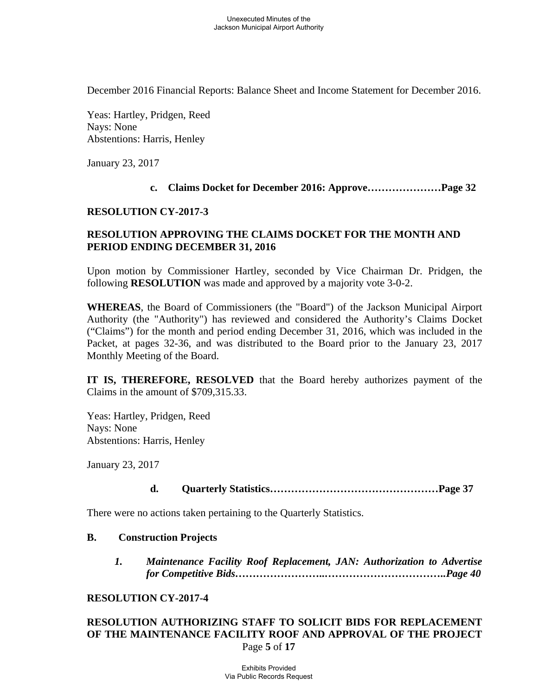December 2016 Financial Reports: Balance Sheet and Income Statement for December 2016.

Yeas: Hartley, Pridgen, Reed Nays: None Abstentions: Harris, Henley

January 23, 2017

#### **c. Claims Docket for December 2016: Approve…………………Page 32**

#### **RESOLUTION CY-2017-3**

### **RESOLUTION APPROVING THE CLAIMS DOCKET FOR THE MONTH AND PERIOD ENDING DECEMBER 31, 2016**

Upon motion by Commissioner Hartley, seconded by Vice Chairman Dr. Pridgen, the following **RESOLUTION** was made and approved by a majority vote 3-0-2.

**WHEREAS**, the Board of Commissioners (the "Board") of the Jackson Municipal Airport Authority (the "Authority") has reviewed and considered the Authority's Claims Docket ("Claims") for the month and period ending December 31, 2016, which was included in the Packet, at pages 32-36, and was distributed to the Board prior to the January 23, 2017 Monthly Meeting of the Board.

**IT IS, THEREFORE, RESOLVED** that the Board hereby authorizes payment of the Claims in the amount of \$709,315.33.

Yeas: Hartley, Pridgen, Reed Nays: None Abstentions: Harris, Henley

January 23, 2017

#### **d. Quarterly Statistics…………………………………………Page 37**

There were no actions taken pertaining to the Quarterly Statistics.

#### **B. Construction Projects**

*1. Maintenance Facility Roof Replacement, JAN: Authorization to Advertise for Competitive Bids……………………..……………………………..Page 40* 

#### **RESOLUTION CY-2017-4**

### Page **5** of **17 RESOLUTION AUTHORIZING STAFF TO SOLICIT BIDS FOR REPLACEMENT OF THE MAINTENANCE FACILITY ROOF AND APPROVAL OF THE PROJECT**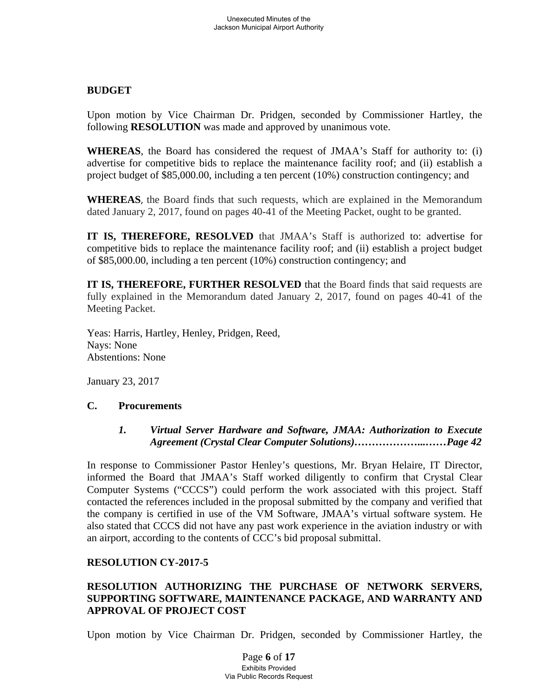### **BUDGET**

Upon motion by Vice Chairman Dr. Pridgen, seconded by Commissioner Hartley, the following **RESOLUTION** was made and approved by unanimous vote.

**WHEREAS**, the Board has considered the request of JMAA's Staff for authority to: (i) advertise for competitive bids to replace the maintenance facility roof; and (ii) establish a project budget of \$85,000.00, including a ten percent (10%) construction contingency; and

**WHEREAS**, the Board finds that such requests, which are explained in the Memorandum dated January 2, 2017, found on pages 40-41 of the Meeting Packet, ought to be granted.

**IT IS, THEREFORE, RESOLVED** that JMAA's Staff is authorized to: advertise for competitive bids to replace the maintenance facility roof; and (ii) establish a project budget of \$85,000.00, including a ten percent (10%) construction contingency; and

**IT IS, THEREFORE, FURTHER RESOLVED** that the Board finds that said requests are fully explained in the Memorandum dated January 2, 2017, found on pages 40-41 of the Meeting Packet.

Yeas: Harris, Hartley, Henley, Pridgen, Reed, Nays: None Abstentions: None

January 23, 2017

## **C. Procurements**

### *1. Virtual Server Hardware and Software, JMAA: Authorization to Execute Agreement (Crystal Clear Computer Solutions)………………...……Page 42*

In response to Commissioner Pastor Henley's questions, Mr. Bryan Helaire, IT Director, informed the Board that JMAA's Staff worked diligently to confirm that Crystal Clear Computer Systems ("CCCS") could perform the work associated with this project. Staff contacted the references included in the proposal submitted by the company and verified that the company is certified in use of the VM Software, JMAA's virtual software system. He also stated that CCCS did not have any past work experience in the aviation industry or with an airport, according to the contents of CCC's bid proposal submittal.

## **RESOLUTION CY-2017-5**

# **RESOLUTION AUTHORIZING THE PURCHASE OF NETWORK SERVERS, SUPPORTING SOFTWARE, MAINTENANCE PACKAGE, AND WARRANTY AND APPROVAL OF PROJECT COST**

Upon motion by Vice Chairman Dr. Pridgen, seconded by Commissioner Hartley, the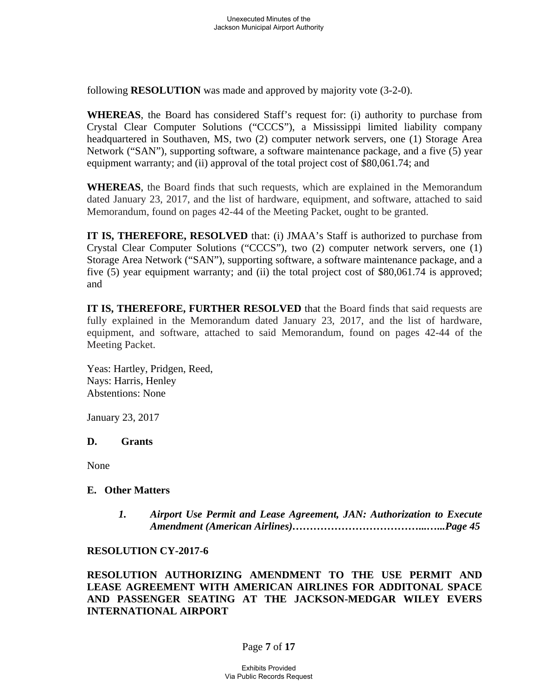following **RESOLUTION** was made and approved by majority vote (3-2-0).

**WHEREAS**, the Board has considered Staff's request for: (i) authority to purchase from Crystal Clear Computer Solutions ("CCCS"), a Mississippi limited liability company headquartered in Southaven, MS, two (2) computer network servers, one (1) Storage Area Network ("SAN"), supporting software, a software maintenance package, and a five (5) year equipment warranty; and (ii) approval of the total project cost of \$80,061.74; and

**WHEREAS**, the Board finds that such requests, which are explained in the Memorandum dated January 23, 2017, and the list of hardware, equipment, and software, attached to said Memorandum, found on pages 42-44 of the Meeting Packet, ought to be granted.

**IT IS, THEREFORE, RESOLVED** that: (i) JMAA's Staff is authorized to purchase from Crystal Clear Computer Solutions ("CCCS"), two (2) computer network servers, one (1) Storage Area Network ("SAN"), supporting software, a software maintenance package, and a five (5) year equipment warranty; and (ii) the total project cost of \$80,061.74 is approved; and

**IT IS, THEREFORE, FURTHER RESOLVED** that the Board finds that said requests are fully explained in the Memorandum dated January 23, 2017, and the list of hardware, equipment, and software, attached to said Memorandum, found on pages 42-44 of the Meeting Packet.

Yeas: Hartley, Pridgen, Reed, Nays: Harris, Henley Abstentions: None

January 23, 2017

## **D. Grants**

None

#### **E. Other Matters**

*1. Airport Use Permit and Lease Agreement, JAN: Authorization to Execute Amendment (American Airlines)………………………………...…...Page 45* 

### **RESOLUTION CY-2017-6**

**RESOLUTION AUTHORIZING AMENDMENT TO THE USE PERMIT AND LEASE AGREEMENT WITH AMERICAN AIRLINES FOR ADDITONAL SPACE AND PASSENGER SEATING AT THE JACKSON-MEDGAR WILEY EVERS INTERNATIONAL AIRPORT** 

## Page **7** of **17**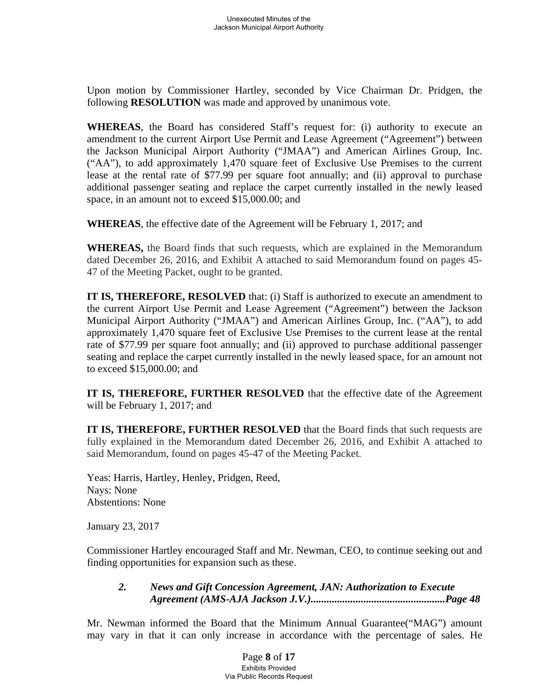Upon motion by Commissioner Hartley, seconded by Vice Chairman Dr. Pridgen, the following **RESOLUTION** was made and approved by unanimous vote.

**WHEREAS**, the Board has considered Staff's request for: (i) authority to execute an amendment to the current Airport Use Permit and Lease Agreement ("Agreement") between the Jackson Municipal Airport Authority ("JMAA") and American Airlines Group, Inc. ("AA"), to add approximately 1,470 square feet of Exclusive Use Premises to the current lease at the rental rate of \$77.99 per square foot annually; and (ii) approval to purchase additional passenger seating and replace the carpet currently installed in the newly leased space, in an amount not to exceed \$15,000.00; and

**WHEREAS**, the effective date of the Agreement will be February 1, 2017; and

**WHEREAS,** the Board finds that such requests, which are explained in the Memorandum dated December 26, 2016, and Exhibit A attached to said Memorandum found on pages 45- 47 of the Meeting Packet, ought to be granted.

**IT IS, THEREFORE, RESOLVED** that: (i) Staff is authorized to execute an amendment to the current Airport Use Permit and Lease Agreement ("Agreement") between the Jackson Municipal Airport Authority ("JMAA") and American Airlines Group, Inc. ("AA"), to add approximately 1,470 square feet of Exclusive Use Premises to the current lease at the rental rate of \$77.99 per square foot annually; and (ii) approved to purchase additional passenger seating and replace the carpet currently installed in the newly leased space, for an amount not to exceed \$15,000.00; and

**IT IS, THEREFORE, FURTHER RESOLVED** that the effective date of the Agreement will be February 1, 2017; and

**IT IS, THEREFORE, FURTHER RESOLVED** that the Board finds that such requests are fully explained in the Memorandum dated December 26, 2016, and Exhibit A attached to said Memorandum, found on pages 45-47 of the Meeting Packet.

Yeas: Harris, Hartley, Henley, Pridgen, Reed, Nays: None Abstentions: None

January 23, 2017

Commissioner Hartley encouraged Staff and Mr. Newman, CEO, to continue seeking out and finding opportunities for expansion such as these.

# *2. News and Gift Concession Agreement, JAN: Authorization to Execute Agreement (AMS-AJA Jackson J.V.)...................................................Page 48*

Mr. Newman informed the Board that the Minimum Annual Guarantee("MAG") amount may vary in that it can only increase in accordance with the percentage of sales. He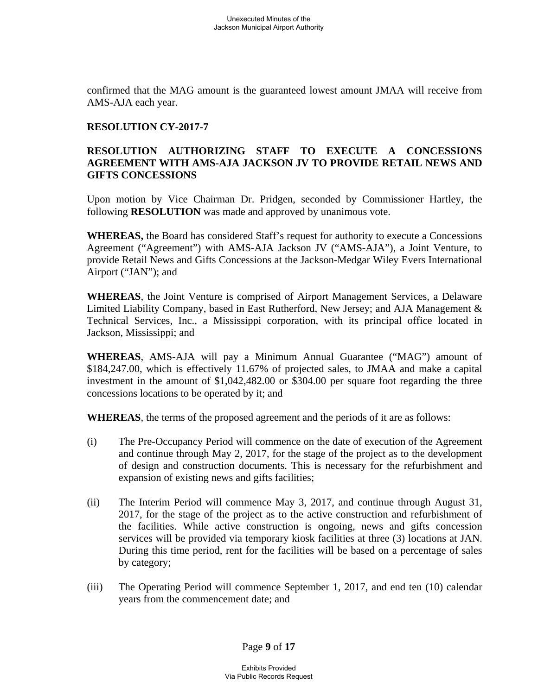confirmed that the MAG amount is the guaranteed lowest amount JMAA will receive from AMS-AJA each year.

### **RESOLUTION CY-2017-7**

### **RESOLUTION AUTHORIZING STAFF TO EXECUTE A CONCESSIONS AGREEMENT WITH AMS-AJA JACKSON JV TO PROVIDE RETAIL NEWS AND GIFTS CONCESSIONS**

Upon motion by Vice Chairman Dr. Pridgen, seconded by Commissioner Hartley, the following **RESOLUTION** was made and approved by unanimous vote.

**WHEREAS,** the Board has considered Staff's request for authority to execute a Concessions Agreement ("Agreement") with AMS-AJA Jackson JV ("AMS-AJA"), a Joint Venture, to provide Retail News and Gifts Concessions at the Jackson-Medgar Wiley Evers International Airport ("JAN"); and

**WHEREAS**, the Joint Venture is comprised of Airport Management Services, a Delaware Limited Liability Company, based in East Rutherford, New Jersey; and AJA Management & Technical Services, Inc., a Mississippi corporation, with its principal office located in Jackson, Mississippi; and

**WHEREAS**, AMS-AJA will pay a Minimum Annual Guarantee ("MAG") amount of \$184,247.00, which is effectively 11.67% of projected sales, to JMAA and make a capital investment in the amount of \$1,042,482.00 or \$304.00 per square foot regarding the three concessions locations to be operated by it; and

**WHEREAS**, the terms of the proposed agreement and the periods of it are as follows:

- (i) The Pre-Occupancy Period will commence on the date of execution of the Agreement and continue through May 2, 2017, for the stage of the project as to the development of design and construction documents. This is necessary for the refurbishment and expansion of existing news and gifts facilities;
- (ii) The Interim Period will commence May 3, 2017, and continue through August 31, 2017, for the stage of the project as to the active construction and refurbishment of the facilities. While active construction is ongoing, news and gifts concession services will be provided via temporary kiosk facilities at three (3) locations at JAN. During this time period, rent for the facilities will be based on a percentage of sales by category;
- (iii) The Operating Period will commence September 1, 2017, and end ten (10) calendar years from the commencement date; and

Page **9** of **17**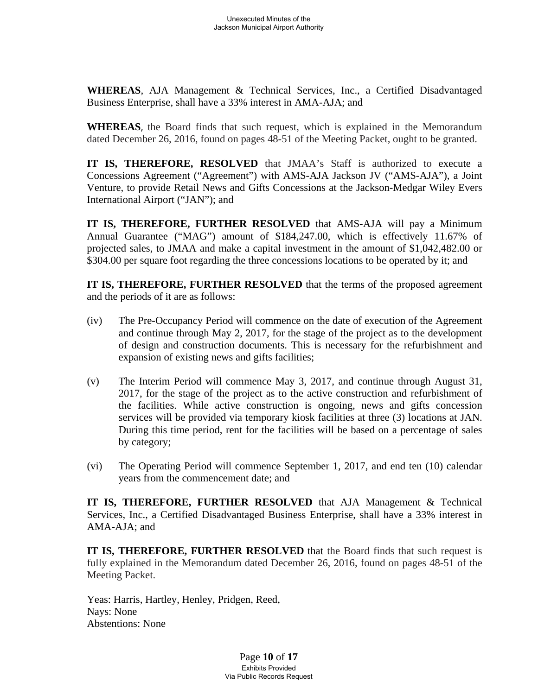**WHEREAS**, AJA Management & Technical Services, Inc., a Certified Disadvantaged Business Enterprise, shall have a 33% interest in AMA-AJA; and

**WHEREAS**, the Board finds that such request, which is explained in the Memorandum dated December 26, 2016, found on pages 48-51 of the Meeting Packet, ought to be granted.

**IT IS, THEREFORE, RESOLVED** that JMAA's Staff is authorized to execute a Concessions Agreement ("Agreement") with AMS-AJA Jackson JV ("AMS-AJA"), a Joint Venture, to provide Retail News and Gifts Concessions at the Jackson-Medgar Wiley Evers International Airport ("JAN"); and

**IT IS, THEREFORE, FURTHER RESOLVED** that AMS-AJA will pay a Minimum Annual Guarantee ("MAG") amount of \$184,247.00, which is effectively 11.67% of projected sales, to JMAA and make a capital investment in the amount of \$1,042,482.00 or \$304.00 per square foot regarding the three concessions locations to be operated by it; and

**IT IS, THEREFORE, FURTHER RESOLVED** that the terms of the proposed agreement and the periods of it are as follows:

- (iv) The Pre-Occupancy Period will commence on the date of execution of the Agreement and continue through May 2, 2017, for the stage of the project as to the development of design and construction documents. This is necessary for the refurbishment and expansion of existing news and gifts facilities;
- (v) The Interim Period will commence May 3, 2017, and continue through August 31, 2017, for the stage of the project as to the active construction and refurbishment of the facilities. While active construction is ongoing, news and gifts concession services will be provided via temporary kiosk facilities at three (3) locations at JAN. During this time period, rent for the facilities will be based on a percentage of sales by category;
- (vi) The Operating Period will commence September 1, 2017, and end ten (10) calendar years from the commencement date; and

**IT IS, THEREFORE, FURTHER RESOLVED** that AJA Management & Technical Services, Inc., a Certified Disadvantaged Business Enterprise, shall have a 33% interest in AMA-AJA; and

**IT IS, THEREFORE, FURTHER RESOLVED** that the Board finds that such request is fully explained in the Memorandum dated December 26, 2016, found on pages 48-51 of the Meeting Packet.

Yeas: Harris, Hartley, Henley, Pridgen, Reed, Nays: None Abstentions: None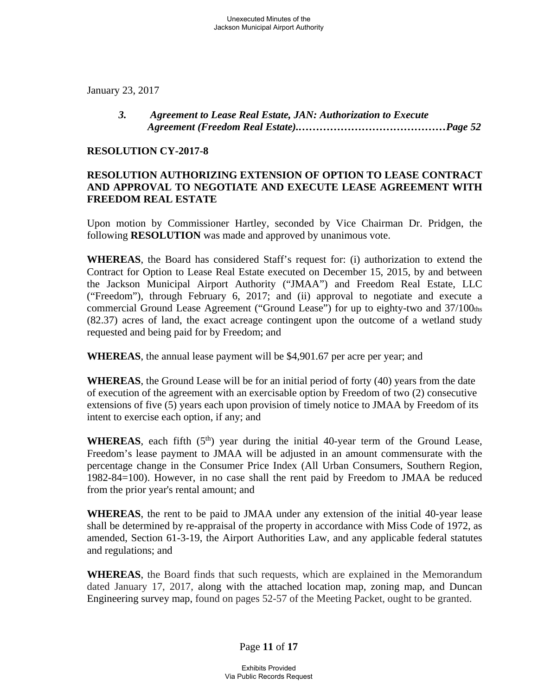January 23, 2017

### *3. Agreement to Lease Real Estate, JAN: Authorization to Execute Agreement (Freedom Real Estate).……………………………………Page 52*

#### **RESOLUTION CY-2017-8**

### **RESOLUTION AUTHORIZING EXTENSION OF OPTION TO LEASE CONTRACT AND APPROVAL TO NEGOTIATE AND EXECUTE LEASE AGREEMENT WITH FREEDOM REAL ESTATE**

Upon motion by Commissioner Hartley, seconded by Vice Chairman Dr. Pridgen, the following **RESOLUTION** was made and approved by unanimous vote.

**WHEREAS**, the Board has considered Staff's request for: (i) authorization to extend the Contract for Option to Lease Real Estate executed on December 15, 2015, by and between the Jackson Municipal Airport Authority ("JMAA") and Freedom Real Estate, LLC ("Freedom"), through February 6, 2017; and (ii) approval to negotiate and execute a commercial Ground Lease Agreement ("Ground Lease") for up to eighty-two and 37/100ths (82.37) acres of land, the exact acreage contingent upon the outcome of a wetland study requested and being paid for by Freedom; and

**WHEREAS**, the annual lease payment will be \$4,901.67 per acre per year; and

**WHEREAS**, the Ground Lease will be for an initial period of forty (40) years from the date of execution of the agreement with an exercisable option by Freedom of two (2) consecutive extensions of five (5) years each upon provision of timely notice to JMAA by Freedom of its intent to exercise each option, if any; and

**WHEREAS**, each fifth  $(5<sup>th</sup>)$  year during the initial 40-year term of the Ground Lease, Freedom's lease payment to JMAA will be adjusted in an amount commensurate with the percentage change in the Consumer Price Index (All Urban Consumers, Southern Region, 1982-84=100). However, in no case shall the rent paid by Freedom to JMAA be reduced from the prior year's rental amount; and

**WHEREAS**, the rent to be paid to JMAA under any extension of the initial 40-year lease shall be determined by re-appraisal of the property in accordance with Miss Code of 1972, as amended, Section 61-3-19, the Airport Authorities Law, and any applicable federal statutes and regulations; and

**WHEREAS**, the Board finds that such requests, which are explained in the Memorandum dated January 17, 2017, along with the attached location map, zoning map, and Duncan Engineering survey map, found on pages 52-57 of the Meeting Packet, ought to be granted.

Page **11** of **17**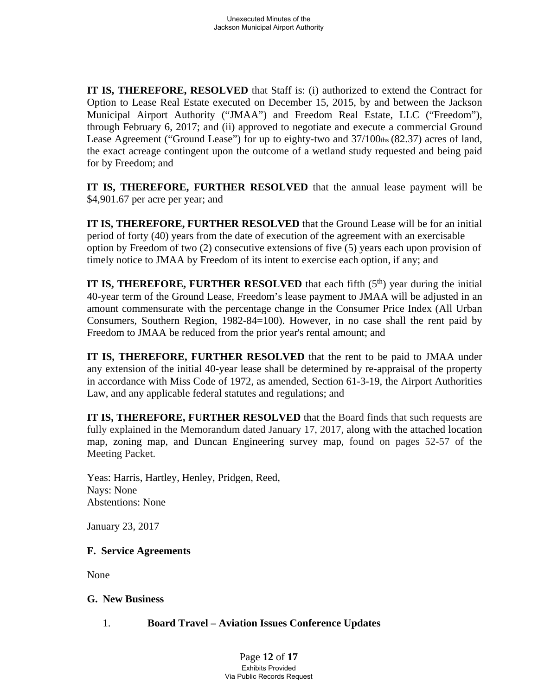**IT IS, THEREFORE, RESOLVED** that Staff is: (i) authorized to extend the Contract for Option to Lease Real Estate executed on December 15, 2015, by and between the Jackson Municipal Airport Authority ("JMAA") and Freedom Real Estate, LLC ("Freedom"), through February 6, 2017; and (ii) approved to negotiate and execute a commercial Ground Lease Agreement ("Ground Lease") for up to eighty-two and  $37/100$ ths (82.37) acres of land, the exact acreage contingent upon the outcome of a wetland study requested and being paid for by Freedom; and

**IT IS, THEREFORE, FURTHER RESOLVED** that the annual lease payment will be \$4,901.67 per acre per year; and

**IT IS, THEREFORE, FURTHER RESOLVED** that the Ground Lease will be for an initial period of forty (40) years from the date of execution of the agreement with an exercisable option by Freedom of two (2) consecutive extensions of five (5) years each upon provision of timely notice to JMAA by Freedom of its intent to exercise each option, if any; and

**IT IS, THEREFORE, FURTHER RESOLVED** that each fifth  $(5<sup>th</sup>)$  year during the initial 40-year term of the Ground Lease, Freedom's lease payment to JMAA will be adjusted in an amount commensurate with the percentage change in the Consumer Price Index (All Urban Consumers, Southern Region, 1982-84=100). However, in no case shall the rent paid by Freedom to JMAA be reduced from the prior year's rental amount; and

**IT IS, THEREFORE, FURTHER RESOLVED** that the rent to be paid to JMAA under any extension of the initial 40-year lease shall be determined by re-appraisal of the property in accordance with Miss Code of 1972, as amended, Section 61-3-19, the Airport Authorities Law, and any applicable federal statutes and regulations; and

**IT IS, THEREFORE, FURTHER RESOLVED** that the Board finds that such requests are fully explained in the Memorandum dated January 17, 2017, along with the attached location map, zoning map, and Duncan Engineering survey map, found on pages 52-57 of the Meeting Packet.

Yeas: Harris, Hartley, Henley, Pridgen, Reed, Nays: None Abstentions: None

January 23, 2017

## **F. Service Agreements**

None

## **G. New Business**

## 1. **Board Travel – Aviation Issues Conference Updates**

Page **12** of **17** Exhibits Provided Via Public Records Request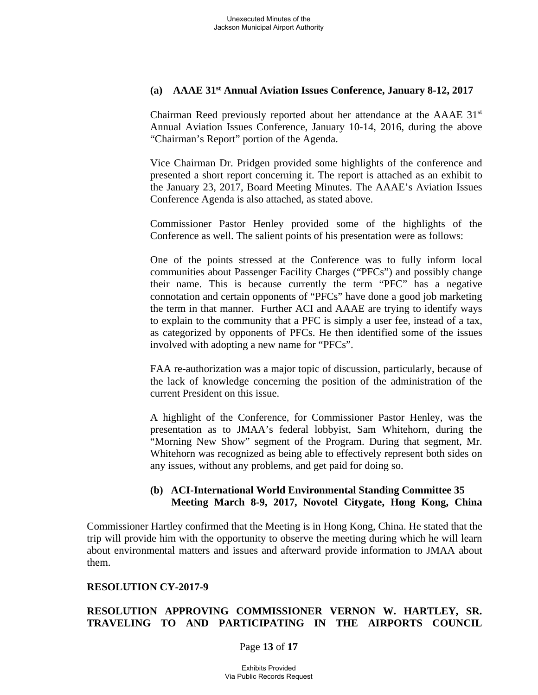### **(a) AAAE 31st Annual Aviation Issues Conference, January 8-12, 2017**

Chairman Reed previously reported about her attendance at the  $AAAE$  31st Annual Aviation Issues Conference, January 10-14, 2016, during the above "Chairman's Report" portion of the Agenda.

Vice Chairman Dr. Pridgen provided some highlights of the conference and presented a short report concerning it. The report is attached as an exhibit to the January 23, 2017, Board Meeting Minutes. The AAAE's Aviation Issues Conference Agenda is also attached, as stated above.

Commissioner Pastor Henley provided some of the highlights of the Conference as well. The salient points of his presentation were as follows:

One of the points stressed at the Conference was to fully inform local communities about Passenger Facility Charges ("PFCs") and possibly change their name. This is because currently the term "PFC" has a negative connotation and certain opponents of "PFCs" have done a good job marketing the term in that manner. Further ACI and AAAE are trying to identify ways to explain to the community that a PFC is simply a user fee, instead of a tax, as categorized by opponents of PFCs. He then identified some of the issues involved with adopting a new name for "PFCs".

FAA re-authorization was a major topic of discussion, particularly, because of the lack of knowledge concerning the position of the administration of the current President on this issue.

A highlight of the Conference, for Commissioner Pastor Henley, was the presentation as to JMAA's federal lobbyist, Sam Whitehorn, during the "Morning New Show" segment of the Program. During that segment, Mr. Whitehorn was recognized as being able to effectively represent both sides on any issues, without any problems, and get paid for doing so.

### **(b) ACI-International World Environmental Standing Committee 35 Meeting March 8-9, 2017, Novotel Citygate, Hong Kong, China**

Commissioner Hartley confirmed that the Meeting is in Hong Kong, China. He stated that the trip will provide him with the opportunity to observe the meeting during which he will learn about environmental matters and issues and afterward provide information to JMAA about them.

#### **RESOLUTION CY-2017-9**

## **RESOLUTION APPROVING COMMISSIONER VERNON W. HARTLEY, SR. TRAVELING TO AND PARTICIPATING IN THE AIRPORTS COUNCIL**

#### Page **13** of **17**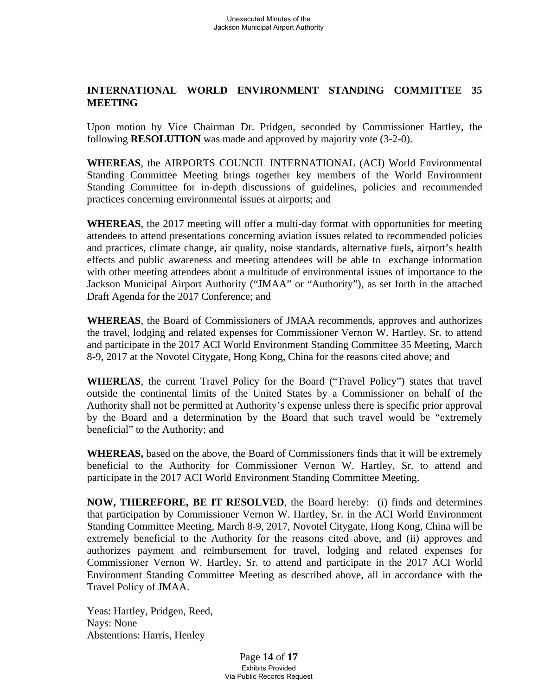## **INTERNATIONAL WORLD ENVIRONMENT STANDING COMMITTEE 35 MEETING**

Upon motion by Vice Chairman Dr. Pridgen, seconded by Commissioner Hartley, the following **RESOLUTION** was made and approved by majority vote (3-2-0).

**WHEREAS**, the AIRPORTS COUNCIL INTERNATIONAL (ACI) World Environmental Standing Committee Meeting brings together key members of the World Environment Standing Committee for in-depth discussions of guidelines, policies and recommended practices concerning environmental issues at airports; and

**WHEREAS**, the 2017 meeting will offer a multi-day format with opportunities for meeting attendees to attend presentations concerning aviation issues related to recommended policies and practices, climate change, air quality, noise standards, alternative fuels, airport's health effects and public awareness and meeting attendees will be able to exchange information with other meeting attendees about a multitude of environmental issues of importance to the Jackson Municipal Airport Authority ("JMAA" or "Authority"), as set forth in the attached Draft Agenda for the 2017 Conference; and

**WHEREAS**, the Board of Commissioners of JMAA recommends, approves and authorizes the travel, lodging and related expenses for Commissioner Vernon W. Hartley, Sr. to attend and participate in the 2017 ACI World Environment Standing Committee 35 Meeting, March 8-9, 2017 at the Novotel Citygate, Hong Kong, China for the reasons cited above; and

**WHEREAS**, the current Travel Policy for the Board ("Travel Policy") states that travel outside the continental limits of the United States by a Commissioner on behalf of the Authority shall not be permitted at Authority's expense unless there is specific prior approval by the Board and a determination by the Board that such travel would be "extremely beneficial" to the Authority; and

**WHEREAS,** based on the above, the Board of Commissioners finds that it will be extremely beneficial to the Authority for Commissioner Vernon W. Hartley, Sr. to attend and participate in the 2017 ACI World Environment Standing Committee Meeting.

**NOW, THEREFORE, BE IT RESOLVED**, the Board hereby: (i) finds and determines that participation by Commissioner Vernon W. Hartley, Sr. in the ACI World Environment Standing Committee Meeting, March 8-9, 2017, Novotel Citygate, Hong Kong, China will be extremely beneficial to the Authority for the reasons cited above, and (ii) approves and authorizes payment and reimbursement for travel, lodging and related expenses for Commissioner Vernon W. Hartley, Sr. to attend and participate in the 2017 ACI World Environment Standing Committee Meeting as described above, all in accordance with the Travel Policy of JMAA.

Yeas: Hartley, Pridgen, Reed, Nays: None Abstentions: Harris, Henley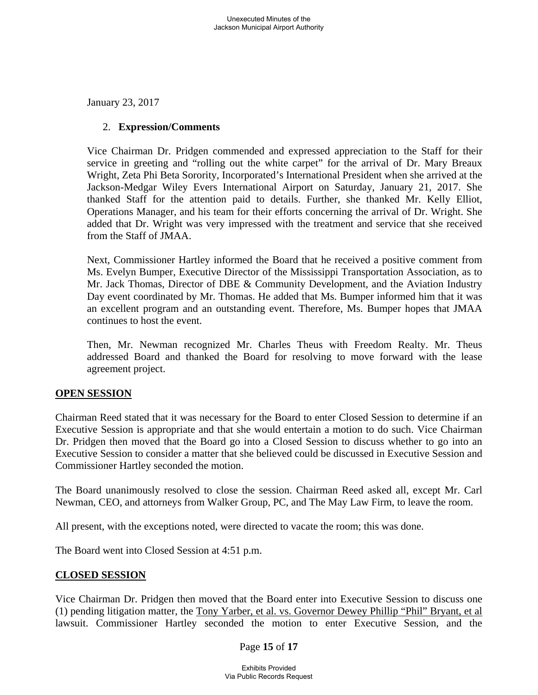January 23, 2017

### 2. **Expression/Comments**

Vice Chairman Dr. Pridgen commended and expressed appreciation to the Staff for their service in greeting and "rolling out the white carpet" for the arrival of Dr. Mary Breaux Wright, Zeta Phi Beta Sorority, Incorporated's International President when she arrived at the Jackson-Medgar Wiley Evers International Airport on Saturday, January 21, 2017. She thanked Staff for the attention paid to details. Further, she thanked Mr. Kelly Elliot, Operations Manager, and his team for their efforts concerning the arrival of Dr. Wright. She added that Dr. Wright was very impressed with the treatment and service that she received from the Staff of JMAA.

Next, Commissioner Hartley informed the Board that he received a positive comment from Ms. Evelyn Bumper, Executive Director of the Mississippi Transportation Association, as to Mr. Jack Thomas, Director of DBE & Community Development, and the Aviation Industry Day event coordinated by Mr. Thomas. He added that Ms. Bumper informed him that it was an excellent program and an outstanding event. Therefore, Ms. Bumper hopes that JMAA continues to host the event.

Then, Mr. Newman recognized Mr. Charles Theus with Freedom Realty. Mr. Theus addressed Board and thanked the Board for resolving to move forward with the lease agreement project.

## **OPEN SESSION**

Chairman Reed stated that it was necessary for the Board to enter Closed Session to determine if an Executive Session is appropriate and that she would entertain a motion to do such. Vice Chairman Dr. Pridgen then moved that the Board go into a Closed Session to discuss whether to go into an Executive Session to consider a matter that she believed could be discussed in Executive Session and Commissioner Hartley seconded the motion.

The Board unanimously resolved to close the session. Chairman Reed asked all, except Mr. Carl Newman, CEO, and attorneys from Walker Group, PC, and The May Law Firm, to leave the room.

All present, with the exceptions noted, were directed to vacate the room; this was done.

The Board went into Closed Session at 4:51 p.m.

## **CLOSED SESSION**

Vice Chairman Dr. Pridgen then moved that the Board enter into Executive Session to discuss one (1) pending litigation matter, the Tony Yarber, et al. vs. Governor Dewey Phillip "Phil" Bryant, et al lawsuit. Commissioner Hartley seconded the motion to enter Executive Session, and the

#### Page **15** of **17**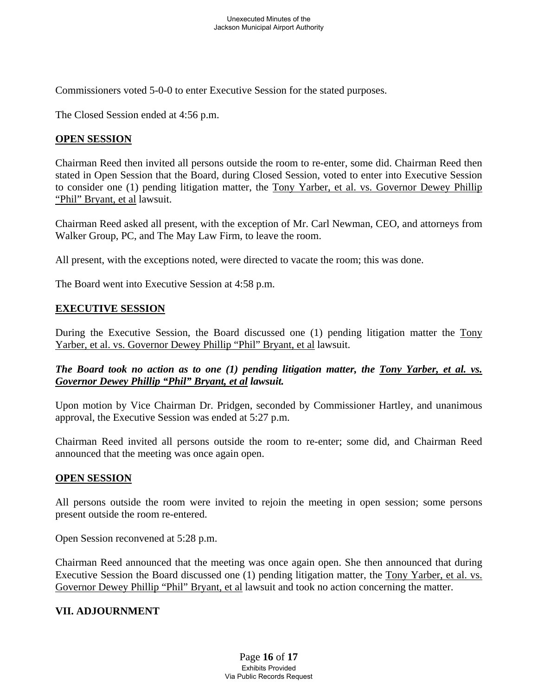Commissioners voted 5-0-0 to enter Executive Session for the stated purposes.

The Closed Session ended at 4:56 p.m.

### **OPEN SESSION**

Chairman Reed then invited all persons outside the room to re-enter, some did. Chairman Reed then stated in Open Session that the Board, during Closed Session, voted to enter into Executive Session to consider one (1) pending litigation matter, the Tony Yarber, et al. vs. Governor Dewey Phillip "Phil" Bryant, et al lawsuit.

Chairman Reed asked all present, with the exception of Mr. Carl Newman, CEO, and attorneys from Walker Group, PC, and The May Law Firm, to leave the room.

All present, with the exceptions noted, were directed to vacate the room; this was done.

The Board went into Executive Session at 4:58 p.m.

### **EXECUTIVE SESSION**

During the Executive Session, the Board discussed one (1) pending litigation matter the Tony Yarber, et al. vs. Governor Dewey Phillip "Phil" Bryant, et al lawsuit.

### *The Board took no action as to one (1) pending litigation matter, the Tony Yarber, et al. vs. Governor Dewey Phillip "Phil" Bryant, et al lawsuit.*

Upon motion by Vice Chairman Dr. Pridgen, seconded by Commissioner Hartley, and unanimous approval, the Executive Session was ended at 5:27 p.m.

Chairman Reed invited all persons outside the room to re-enter; some did, and Chairman Reed announced that the meeting was once again open.

#### **OPEN SESSION**

All persons outside the room were invited to rejoin the meeting in open session; some persons present outside the room re-entered.

Open Session reconvened at 5:28 p.m.

Chairman Reed announced that the meeting was once again open. She then announced that during Executive Session the Board discussed one (1) pending litigation matter, the Tony Yarber, et al. vs. Governor Dewey Phillip "Phil" Bryant, et al lawsuit and took no action concerning the matter.

#### **VII. ADJOURNMENT**